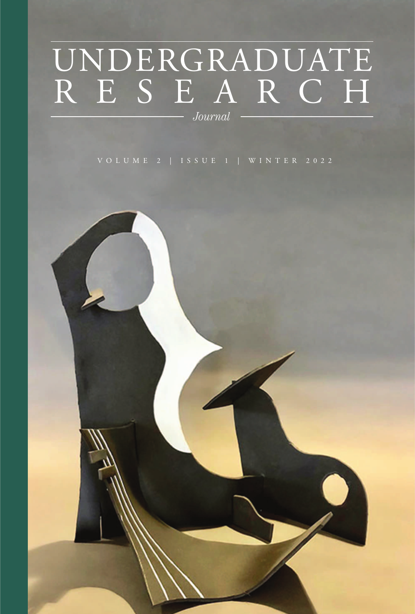# UNDERGRADUATE RESEARCH *Journal*

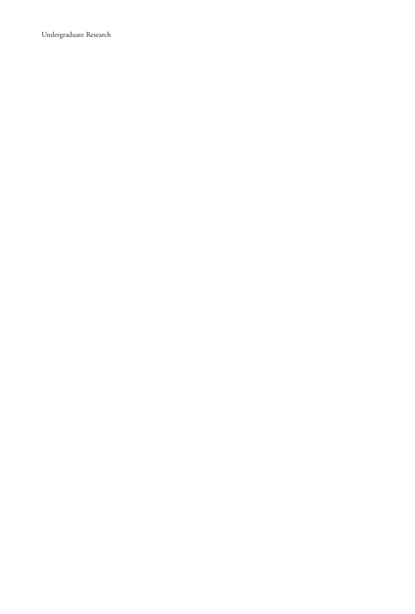Undergraduate Research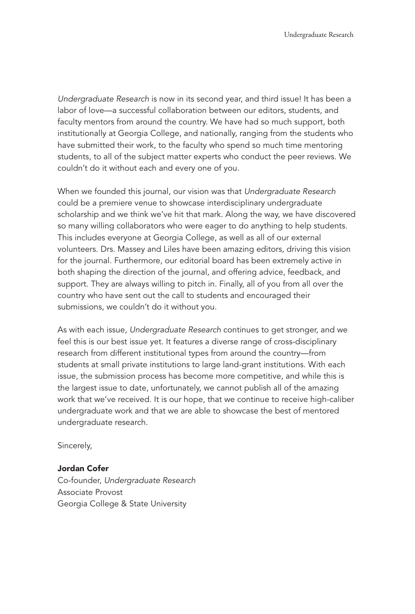Undergraduate Research is now in its second year, and third issue! It has been a labor of love—a successful collaboration between our editors, students, and faculty mentors from around the country. We have had so much support, both institutionally at Georgia College, and nationally, ranging from the students who have submitted their work, to the faculty who spend so much time mentoring students, to all of the subject matter experts who conduct the peer reviews. We couldn't do it without each and every one of you.

When we founded this journal, our vision was that Undergraduate Research could be a premiere venue to showcase interdisciplinary undergraduate scholarship and we think we've hit that mark. Along the way, we have discovered so many willing collaborators who were eager to do anything to help students. This includes everyone at Georgia College, as well as all of our external volunteers. Drs. Massey and Liles have been amazing editors, driving this vision for the journal. Furthermore, our editorial board has been extremely active in both shaping the direction of the journal, and offering advice, feedback, and support. They are always willing to pitch in. Finally, all of you from all over the country who have sent out the call to students and encouraged their submissions, we couldn't do it without you.

As with each issue, Undergraduate Research continues to get stronger, and we feel this is our best issue yet. It features a diverse range of cross-disciplinary research from different institutional types from around the country—from students at small private institutions to large land-grant institutions. With each issue, the submission process has become more competitive, and while this is the largest issue to date, unfortunately, we cannot publish all of the amazing work that we've received. It is our hope, that we continue to receive high-caliber undergraduate work and that we are able to showcase the best of mentored undergraduate research.

Sincerely,

#### Jordan Cofer

Co-founder, Undergraduate Research Associate Provost Georgia College & State University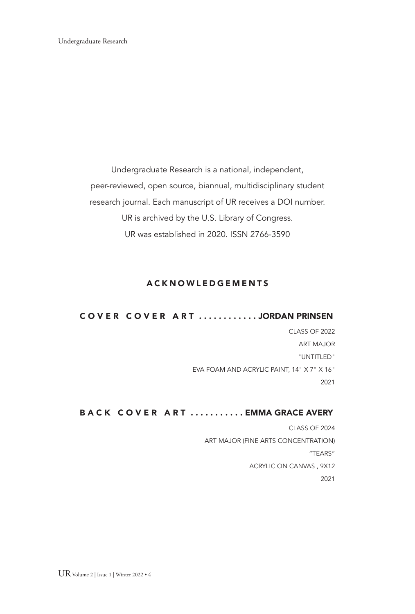Undergraduate Research is a national, independent, peer-reviewed, open source, biannual, multidisciplinary student research journal. Each manuscript of UR receives a DOI number. UR is archived by the U.S. Library of Congress. UR was established in 2020. ISSN 2766-3590

#### ACKNOWLEDGEMENTS

COVER COVER ART ............ JORDAN PRINSEN CLASS OF 2022 ART MAJOR "UNTITLED" EVA FOAM AND ACRYLIC PAINT, 14" X 7" X 16" 2021

BACK COVER ART ........... EMMA GRACE AVERY

CLASS OF 2024 ART MAJOR (FINE ARTS CONCENTRATION) "TEARS" ACRYLIC ON CANVAS , 9X12 2021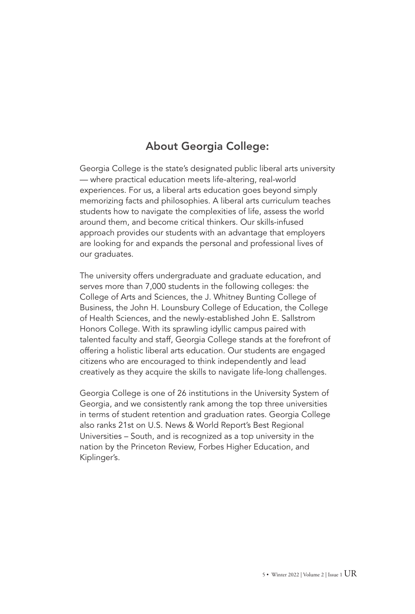## **About Georgia College:**

Georgia College is the state's designated public liberal arts university — where practical education meets life-altering, real-world experiences. For us, a liberal arts education goes beyond simply memorizing facts and philosophies. A liberal arts curriculum teaches students how to navigate the complexities of life, assess the world around them, and become critical thinkers. Our skills-infused approach provides our students with an advantage that employers are looking for and expands the personal and professional lives of our graduates.

The university offers undergraduate and graduate education, and serves more than 7,000 students in the following colleges: the College of Arts and Sciences, the J. Whitney Bunting College of Business, the John H. Lounsbury College of Education, the College of Health Sciences, and the newly-established John E. Sallstrom Honors College. With its sprawling idyllic campus paired with talented faculty and staff, Georgia College stands at the forefront of offering a holistic liberal arts education. Our students are engaged citizens who are encouraged to think independently and lead creatively as they acquire the skills to navigate life-long challenges.

Georgia College is one of 26 institutions in the University System of Georgia, and we consistently rank among the top three universities in terms of student retention and graduation rates. Georgia College also ranks 21st on U.S. News & World Report's Best Regional Universities – South, and is recognized as a top university in the nation by the Princeton Review, Forbes Higher Education, and Kiplinger's.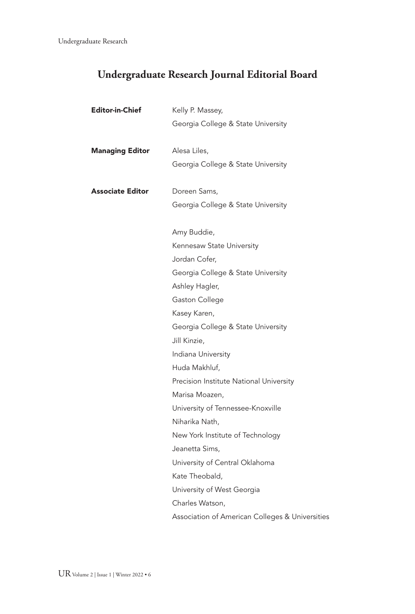## **Undergraduate Research Journal Editorial Board**

| <b>Editor-in-Chief</b>  | Kelly P. Massey,                                |
|-------------------------|-------------------------------------------------|
|                         | Georgia College & State University              |
| <b>Managing Editor</b>  | Alesa Liles,                                    |
|                         | Georgia College & State University              |
| <b>Associate Editor</b> | Doreen Sams,                                    |
|                         | Georgia College & State University              |
|                         | Amy Buddie,                                     |
|                         | Kennesaw State University                       |
|                         | Jordan Cofer.                                   |
|                         | Georgia College & State University              |
|                         | Ashley Hagler,                                  |
|                         | Gaston College                                  |
|                         | Kasey Karen,                                    |
|                         | Georgia College & State University              |
|                         | Jill Kinzie,                                    |
|                         | Indiana University                              |
|                         | Huda Makhluf,                                   |
|                         | Precision Institute National University         |
|                         | Marisa Moazen,                                  |
|                         | University of Tennessee-Knoxville               |
|                         | Niharika Nath,                                  |
|                         | New York Institute of Technology                |
|                         | Jeanetta Sims,                                  |
|                         | University of Central Oklahoma                  |
|                         | Kate Theobald,                                  |
|                         | University of West Georgia                      |
|                         | Charles Watson,                                 |
|                         | Association of American Colleges & Universities |